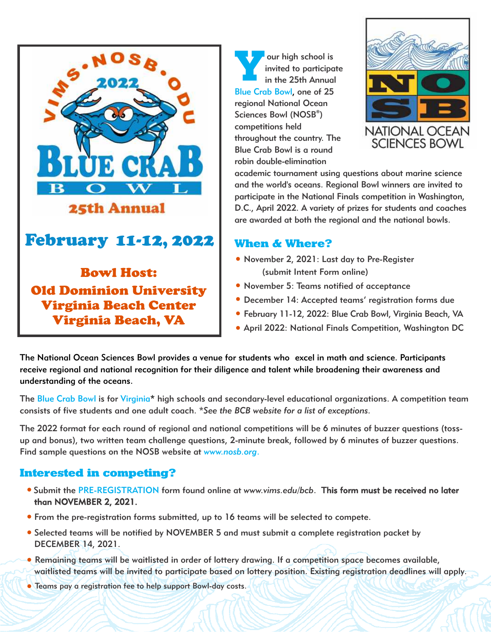

February 11-12, 2022

Bowl Host: Old Dominion University Virginia Beach Center Virginia Beach, VA

**Y** our high school is invited to participate in the 25th Annual Blue Crab Bowl, one of 25 regional National Ocean Sciences Bowl (NOSB<sup>®</sup>) competitions held throughout the country. The Blue Crab Bowl is a round robin double-elimination



academic tournament using questions about marine science and the world's oceans. Regional Bowl winners are invited to participate in the National Finals competition in Washington, D.C., April 2022. A variety of prizes for students and coaches are awarded at both the regional and the national bowls.

## **When & Where?**

- November 2, 2021: Last day to Pre-Register (submit Intent Form online)
- November 5: Teams notified of acceptance
- December 14: Accepted teams' registration forms due
- February 11-12, 2022: Blue Crab Bowl, Virginia Beach, VA
- April 2022: National Finals Competition, Washington DC

The National Ocean Sciences Bowl provides a venue for students who excel in math and science. Participants receive regional and national recognition for their diligence and talent while broadening their awareness and understanding of the oceans.

The Blue Crab Bowl is for Virginia\* high schools and secondary-level educational organizations. A competition team consists of five students and one adult coach. \**See the BCB website for a list of exceptions.*

The 2022 format for each round of regional and national competitions will be 6 minutes of buzzer questions (tossup and bonus), two written team challenge questions, 2-minute break, followed by 6 minutes of buzzer questions. Find sample questions on the NOSB website at *www.nosb.org*.

### **Interested in competing?**

- Submit the PRE-REGISTRATION form found online at *www.vims.edu/bcb*. This form must be received no later than NOVEMBER 2, 2021.
- From the pre-registration forms submitted, up to 16 teams will be selected to compete.
- Selected teams will be notified by NOVEMBER 5 and must submit a complete registration packet by DECEMBER 14, 2021.
- Remaining teams will be waitlisted in order of lottery drawing. If a competition space becomes available, waitlisted teams will be invited to participate based on lottery position. Existing registration deadlines will apply.
- Teams pay a registration fee to help support Bowl-day costs.